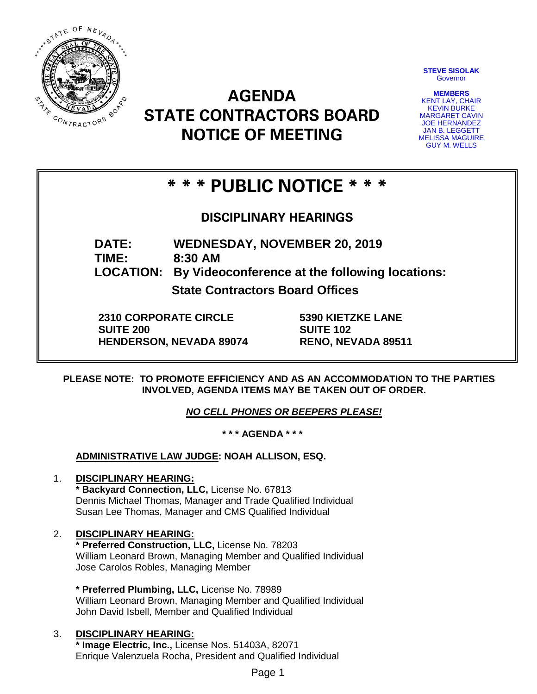

**STEVE SISOLAK Governor** 

**MEMBERS** KENT LAY, CHAIR KEVIN BURKE MARGARET CAVIN JOE HERNANDEZ JAN B. LEGGETT MELISSA MAGUIRE GUY M. WELLS

# **AGENDA STATE CONTRACTORS BOARD NOTICE OF MEETING**

## **\* \* \* PUBLIC NOTICE \* \* \***

**DISCIPLINARY HEARINGS**

**DATE: WEDNESDAY, NOVEMBER 20, 2019**

**TIME: 8:30 AM**

**LOCATION: By Videoconference at the following locations:**

**State Contractors Board Offices**

**2310 CORPORATE CIRCLE SUITE 200 HENDERSON, NEVADA 89074** **5390 KIETZKE LANE SUITE 102 RENO, NEVADA 89511**

**PLEASE NOTE: TO PROMOTE EFFICIENCY AND AS AN ACCOMMODATION TO THE PARTIES INVOLVED, AGENDA ITEMS MAY BE TAKEN OUT OF ORDER.**

*NO CELL PHONES OR BEEPERS PLEASE!* 

**\* \* \* AGENDA \* \* \***

**ADMINISTRATIVE LAW JUDGE: NOAH ALLISON, ESQ.** 

## 1. **DISCIPLINARY HEARING:**

**\* Backyard Connection, LLC,** License No. 67813 Dennis Michael Thomas, Manager and Trade Qualified Individual Susan Lee Thomas, Manager and CMS Qualified Individual

## 2. **DISCIPLINARY HEARING:**

**\* Preferred Construction, LLC,** License No. 78203 William Leonard Brown, Managing Member and Qualified Individual Jose Carolos Robles, Managing Member

**\* Preferred Plumbing, LLC,** License No. 78989 William Leonard Brown, Managing Member and Qualified Individual John David Isbell, Member and Qualified Individual

## 3. **DISCIPLINARY HEARING:**

**\* Image Electric, Inc.,** License Nos. 51403A, 82071 Enrique Valenzuela Rocha, President and Qualified Individual

Page 1